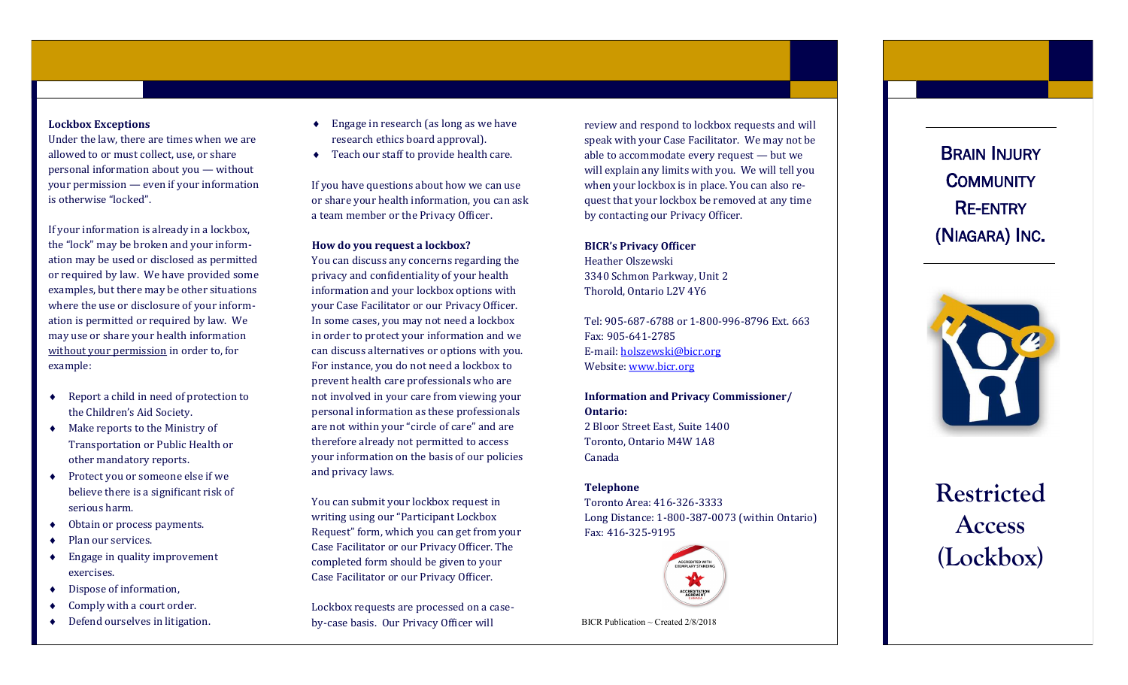# **Lockbox Exceptions**

Under the law, there are times when we are allowed to or must collect, use, or share personal information about you — without your permission — even if your information is otherwise "locked".

If your information is already in a lockbox, the "lock" may be broken and your inform ation may be used or disclosed as permitted or required by law. We have provided some examples, but there may be other situations where the use or disclosure of your inform ation is permitted or required by law. We may use or share your health information without your permission in order to, for example:

- Report a child in need of protection to the Children's Aid Society.
- Make reports to the Ministry of Transportation or Public Health or other mandatory reports.
- ◆ Protect you or someone else if we believe there is a significant risk of serious harm.
- Obtain or process payments.
- Plan our services.
- ◆ Engage in quality improvement exercises.
- Dispose of information,
- ◆ Comply with a court order.
- ◆ Defend ourselves in litigation.
- ◆ Engage in research (as long as we have research ethics board approval).
- ◆ Teach our staff to provide health care.

If you have questions about how we can use or share your health information, you can ask a team member or the Privacy Officer.

**How do you request a lockbox?**

You can discuss any concerns regarding the privacy and confidentiality of your health information and your lockbox options with your Case Facilitator or our Privacy Officer. In some cases, you may not need a lockbox in order to protect your information and we can discuss alternatives or options with you. For instance, you do not need a lockbox to prevent health care professionals who are not involved in your care from viewing your personal information as these professionals are not within your "circle of care" and are therefore already not permitted to access your information on the basis of our policies and privacy laws.

You can submit your lockbox request in writing using our "Participant Lockbox Request" form, which you can get from your Case Facilitator or our Privacy Officer. The completed form should be given to your Case Facilitator or our Privacy Officer.

Lockbox requests are processed on a case by -case basis. Our Privacy Officer will

review and respond to lockbox requests and will speak with your Case Facilitator. We may not be able to accommodate every request — but we will explain any limits with you. We will tell you when your lockbox is in place. You can also request that your lockbox be removed at any time by contacting our Privacy Officer.

**BICR's Privacy Officer** Heather Olszewski 3340 Schmon Parkway, Unit 2 Thorold, Ontario L2V 4Y6

Tel: 905 -687 -6788 or 1 -800 -996 -8796 Ext. 663 Fax: 905 -641 -2785 E-mail: [holszewski@bicr.org](mailto:holszewski@bicr.org) Website: [www.bicr.org](http://www.bicr.org)

**Information and Privacy Commissioner/ Ontario:** 2 Bloor Street East, Suite 1400 Toronto, Ontario M4W 1A8 Canada

# **Telephone**

Toronto Area: 416 -326 -3333 Long Distance: 1 -800 -387 -0073 (within Ontario) Fax: 416 -325 -9195



BICR Publication  $\sim$  Created 2/8/2018

BRAIN INJURY <sup>C</sup>OMMUNITY RE-ENTRY (NIAGARA) INC .



**Restricted Access (Lockbox)**